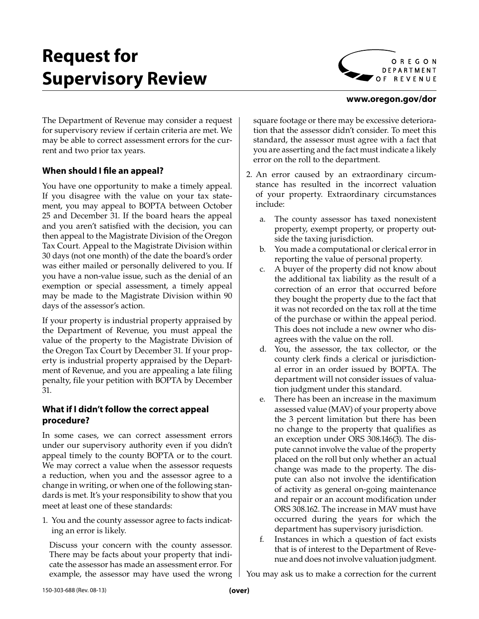# **Request for Supervisory Review**



#### **www.oregon.gov/dor**

The Department of Revenue may consider a request for supervisory review if certain criteria are met. We may be able to correct assessment errors for the current and two prior tax years.

### **When should I file an appeal?**

You have one opportunity to make a timely appeal. If you disagree with the value on your tax statement, you may appeal to BOPTA between October 25 and December 31. If the board hears the appeal and you aren't satisfied with the decision, you can then appeal to the Magistrate Division of the Oregon Tax Court. Appeal to the Magistrate Division within 30 days (not one month) of the date the board's order was either mailed or personally delivered to you. If you have a non-value issue, such as the denial of an exemption or special assessment, a timely appeal may be made to the Magistrate Division within 90 days of the assessor's action.

If your property is industrial property appraised by the Department of Revenue, you must appeal the value of the property to the Magistrate Division of the Oregon Tax Court by December 31. If your property is industrial property appraised by the Department of Revenue, and you are appealing a late filing penalty, file your petition with BOPTA by December 31.

#### **What if I didn't follow the correct appeal procedure?**

In some cases, we can correct assessment errors under our supervisory authority even if you didn't appeal timely to the county BOPTA or to the court. We may correct a value when the assessor requests a reduction, when you and the assessor agree to a change in writing, or when one of the following standards is met. It's your responsibility to show that you meet at least one of these standards:

1. You and the county assessor agree to facts indicating an error is likely.

Discuss your concern with the county assessor. There may be facts about your property that indicate the assessor has made an assessment error. For example, the assessor may have used the wrong square footage or there may be excessive deterioration that the assessor didn't consider. To meet this standard, the assessor must agree with a fact that you are asserting and the fact must indicate a likely error on the roll to the department.

- 2. An error caused by an extraordinary circumstance has resulted in the incorrect valuation of your property. Extraordinary circumstances include:
	- a. The county assessor has taxed nonexistent property, exempt property, or property outside the taxing jurisdiction.
	- b. You made a computational or clerical error in reporting the value of personal property.
	- c. A buyer of the property did not know about the additional tax liability as the result of a correction of an error that occurred before they bought the property due to the fact that it was not recorded on the tax roll at the time of the purchase or within the appeal period. This does not include a new owner who disagrees with the value on the roll.
	- d. You, the assessor, the tax collector, or the county clerk finds a clerical or jurisdictional error in an order issued by BOPTA. The department will not consider issues of valuation judgment under this standard.
	- e. There has been an increase in the maximum assessed value (MAV) of your property above the 3 percent limitation but there has been no change to the property that qualifies as an exception under ORS 308.146(3). The dispute cannot involve the value of the property placed on the roll but only whether an actual change was made to the property. The dispute can also not involve the identification of activity as general on-going maintenance and repair or an account modification under ORS 308.162. The increase in MAV must have occurred during the years for which the department has supervisory jurisdiction.
	- f. Instances in which a question of fact exists that is of interest to the Department of Revenue and does not involve valuation judgment.

You may ask us to make a correction for the current